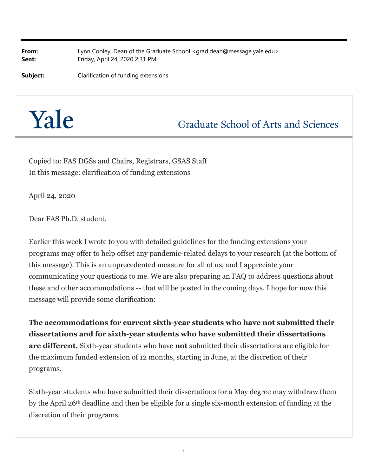**From:** Lynn Cooley, Dean of the Graduate School <grad.dean@message.yale.edu> **Sent:** Friday, April 24, 2020 2:31 PM

**Subject:** Clarification of funding extensions

## Yale

**Graduate School of Arts and Sciences** 

Copied to: FAS DGSs and Chairs, Registrars, GSAS Staff In this message: clarification of funding extensions

April 24, 2020

Dear FAS Ph.D. student,

Earlier this week I wrote to you with detailed guidelines for the funding extensions your programs may offer to help offset any pandemic-related delays to your research (at the bottom of this message). This is an unprecedented measure for all of us, and I appreciate your communicating your questions to me. We are also preparing an FAQ to address questions about these and other accommodations -- that will be posted in the coming days. I hope for now this message will provide some clarification:

**The accommodations for current sixth-year students who have not submitted their dissertations and for sixth-year students who have submitted their dissertations are different.** Sixth-year students who have **not** submitted their dissertations are eligible for the maximum funded extension of 12 months, starting in June, at the discretion of their programs.

Sixth-year students who have submitted their dissertations for a May degree may withdraw them by the April 26th deadline and then be eligible for a single six-month extension of funding at the discretion of their programs.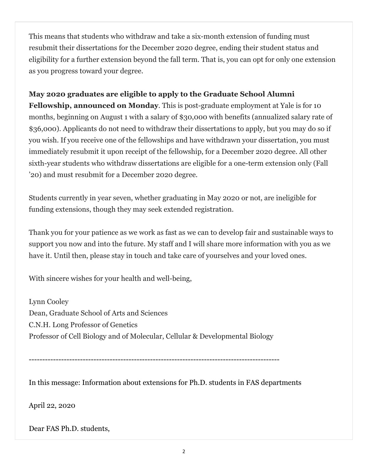This means that students who withdraw and take a six-month extension of funding must resubmit their dissertations for the December 2020 degree, ending their student status and eligibility for a further extension beyond the fall term. That is, you can opt for only one extension as you progress toward your degree.

## **May 2020 graduates are eligible to apply to the Graduate School Alumni**

**Fellowship, announced on Monday**. This is post-graduate employment at Yale is for 10 months, beginning on August 1 with a salary of \$30,000 with benefits (annualized salary rate of \$36,000). Applicants do not need to withdraw their dissertations to apply, but you may do so if you wish. If you receive one of the fellowships and have withdrawn your dissertation, you must immediately resubmit it upon receipt of the fellowship, for a December 2020 degree. All other sixth-year students who withdraw dissertations are eligible for a one-term extension only (Fall '20) and must resubmit for a December 2020 degree.

Students currently in year seven, whether graduating in May 2020 or not, are ineligible for funding extensions, though they may seek extended registration.

Thank you for your patience as we work as fast as we can to develop fair and sustainable ways to support you now and into the future. My staff and I will share more information with you as we have it. Until then, please stay in touch and take care of yourselves and your loved ones.

With sincere wishes for your health and well-being,

Lynn Cooley Dean, Graduate School of Arts and Sciences C.N.H. Long Professor of Genetics Professor of Cell Biology and of Molecular, Cellular & Developmental Biology

---------------------------------------------------------------------------------------------

In this message: Information about extensions for Ph.D. students in FAS departments

April 22, 2020

Dear FAS Ph.D. students,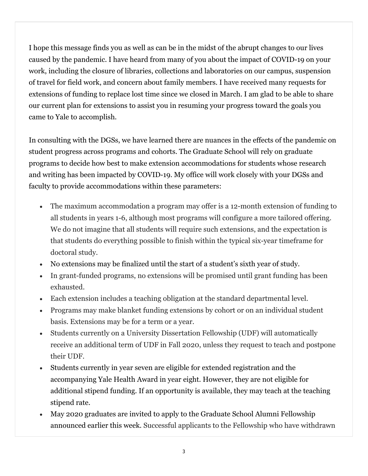I hope this message finds you as well as can be in the midst of the abrupt changes to our lives caused by the pandemic. I have heard from many of you about the impact of COVID-19 on your work, including the closure of libraries, collections and laboratories on our campus, suspension of travel for field work, and concern about family members. I have received many requests for extensions of funding to replace lost time since we closed in March. I am glad to be able to share our current plan for extensions to assist you in resuming your progress toward the goals you came to Yale to accomplish.

In consulting with the DGSs, we have learned there are nuances in the effects of the pandemic on student progress across programs and cohorts. The Graduate School will rely on graduate programs to decide how best to make extension accommodations for students whose research and writing has been impacted by COVID-19. My office will work closely with your DGSs and faculty to provide accommodations within these parameters:

- The maximum accommodation a program may offer is a 12-month extension of funding to all students in years 1-6, although most programs will configure a more tailored offering. We do not imagine that all students will require such extensions, and the expectation is that students do everything possible to finish within the typical six-year timeframe for doctoral study.
- No extensions may be finalized until the start of a student's sixth year of study.
- In grant-funded programs, no extensions will be promised until grant funding has been exhausted.
- Each extension includes a teaching obligation at the standard departmental level.
- Programs may make blanket funding extensions by cohort or on an individual student basis. Extensions may be for a term or a year.
- Students currently on a University Dissertation Fellowship (UDF) will automatically receive an additional term of UDF in Fall 2020, unless they request to teach and postpone their UDF.
- Students currently in year seven are eligible for extended registration and the accompanying Yale Health Award in year eight. However, they are not eligible for additional stipend funding. If an opportunity is available, they may teach at the teaching stipend rate.
- May 2020 graduates are invited to apply to the Graduate School Alumni Fellowship announced earlier this week. Successful applicants to the Fellowship who have withdrawn